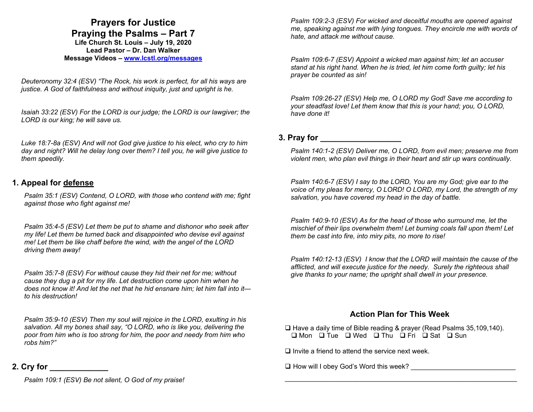## **Prayers for Justice Praying the Psalms – Part 7**

**Life Church St. Louis** *–* **July 19, 2020 Lead Pastor – Dr. Dan Walker Message Videos – www.lcstl.org/messages**

*Deuteronomy 32:4 (ESV) "The Rock, his work is perfect, for all his ways are justice. A God of faithfulness and without iniquity, just and upright is he.* 

*Isaiah 33:22 (ESV) For the LORD is our judge; the LORD is our lawgiver; the LORD is our king; he will save us.* 

*Luke 18:7-8a (ESV) And will not God give justice to his elect, who cry to him day and night? Will he delay long over them? I tell you, he will give justice to them speedily.* 

## **1. Appeal for defense**

*Psalm 35:1 (ESV) Contend, O LORD, with those who contend with me; fight against those who fight against me!* 

*Psalm 35:4-5 (ESV) Let them be put to shame and dishonor who seek after my life! Let them be turned back and disappointed who devise evil against me! Let them be like chaff before the wind, with the angel of the LORD driving them away!* 

*Psalm 35:7-8 (ESV) For without cause they hid their net for me; without cause they dug a pit for my life. Let destruction come upon him when he does not know it! And let the net that he hid ensnare him; let him fall into it to his destruction!* 

*Psalm 35:9-10 (ESV) Then my soul will rejoice in the LORD, exulting in his salvation. All my bones shall say, "O LORD, who is like you, delivering the poor from him who is too strong for him, the poor and needy from him who robs him?"* 

## **2. Cry for \_\_\_\_\_\_\_\_\_\_\_\_\_**

*Psalm 109:1 (ESV) Be not silent, O God of my praise!* 

*Psalm 109:2-3 (ESV) For wicked and deceitful mouths are opened against me, speaking against me with lying tongues. They encircle me with words of hate, and attack me without cause.* 

*Psalm 109:6-7 (ESV) Appoint a wicked man against him; let an accuser stand at his right hand. When he is tried, let him come forth guilty; let his prayer be counted as sin!* 

*Psalm 109:26-27 (ESV) Help me, O LORD my God! Save me according to your steadfast love! Let them know that this is your hand; you, O LORD, have done it!* 

## **3. Pray for \_\_\_\_\_\_\_\_\_\_\_\_\_\_\_\_\_\_**

*Psalm 140:1-2 (ESV) Deliver me, O LORD, from evil men; preserve me from violent men, who plan evil things in their heart and stir up wars continually.* 

*Psalm 140:6-7 (ESV) I say to the LORD, You are my God; give ear to the voice of my pleas for mercy, O LORD! O LORD, my Lord, the strength of my salvation, you have covered my head in the day of battle.* 

*Psalm 140:9-10 (ESV) As for the head of those who surround me, let the mischief of their lips overwhelm them! Let burning coals fall upon them! Let them be cast into fire, into miry pits, no more to rise!* 

*Psalm 140:12-13 (ESV) I know that the LORD will maintain the cause of the afflicted, and will execute justice for the needy. Surely the righteous shall give thanks to your name; the upright shall dwell in your presence.* 

## **Action Plan for This Week**

\_\_\_\_\_\_\_\_\_\_\_\_\_\_\_\_\_\_\_\_\_\_\_\_\_\_\_\_\_\_\_\_\_\_\_\_\_\_\_\_\_\_\_\_\_\_\_\_\_\_\_\_\_\_\_\_\_\_\_\_\_\_

□ Have a daily time of Bible reading & prayer (Read Psalms 35,109,140).  $\Box$  Mon  $\Box$  Tue  $\Box$  Wed  $\Box$  Thu  $\Box$  Fri  $\Box$  Sat  $\Box$  Sun

 $\Box$  Invite a friend to attend the service next week.

 $\Box$  How will I obey God's Word this week?